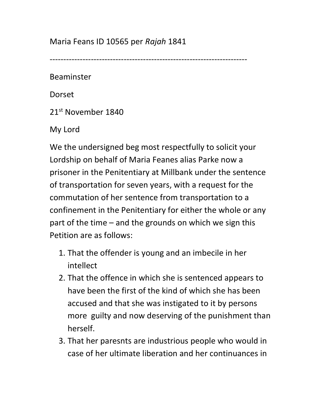Maria Feans ID 10565 per Rajah 1841

------------------------------------------------------------------------

Beaminster

Dorset

21st November 1840

My Lord

We the undersigned beg most respectfully to solicit your Lordship on behalf of Maria Feanes alias Parke now a prisoner in the Penitentiary at Millbank under the sentence of transportation for seven years, with a request for the commutation of her sentence from transportation to a confinement in the Penitentiary for either the whole or any part of the time – and the grounds on which we sign this Petition are as follows:

- 1. That the offender is young and an imbecile in her intellect
- 2. That the offence in which she is sentenced appears to have been the first of the kind of which she has been accused and that she was instigated to it by persons more guilty and now deserving of the punishment than herself.
- 3. That her paresnts are industrious people who would in case of her ultimate liberation and her continuances in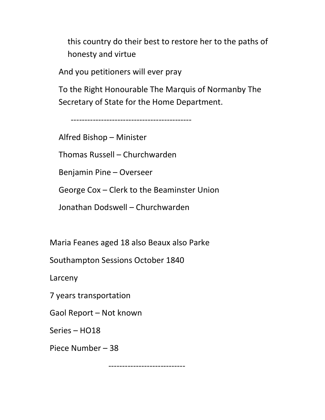this country do their best to restore her to the paths of honesty and virtue

And you petitioners will ever pray

To the Right Honourable The Marquis of Normanby The Secretary of State for the Home Department.

--------------------------------------------

Alfred Bishop – Minister

Thomas Russell – Churchwarden

Benjamin Pine – Overseer

George Cox – Clerk to the Beaminster Union

Jonathan Dodswell – Churchwarden

Maria Feanes aged 18 also Beaux also Parke

Southampton Sessions October 1840

Larceny

7 years transportation

Gaol Report – Not known

Series – HO18

Piece Number – 38

----------------------------